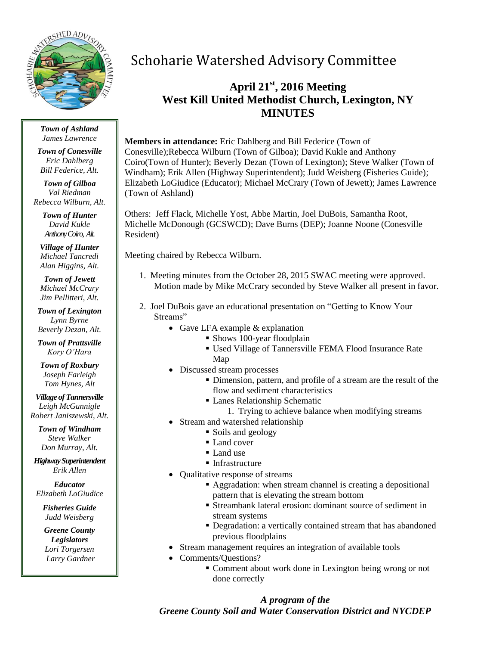

*Town of Ashland James Lawrence*

*Town of Conesville Eric Dahlberg Bill Federice, Alt.*

*Town of Gilboa Val Riedman Rebecca Wilburn, Alt.*

> *Town of Hunter David Kukle Anthony Coiro, Alt.*

*Village of Hunter Michael Tancredi Alan Higgins, Alt.*

*Town of Jewett Michael McCrary Jim Pellitteri, Alt.*

*Town of Lexington Lynn Byrne Beverly Dezan, Alt.*

*Town of Prattsville Kory O'Hara*

*Town of Roxbury Joseph Farleigh Tom Hynes, Alt*

*Village of Tannersville Leigh McGunnigle Robert Janiszewski, Alt.*

*Town of Windham Steve Walker Don Murray, Alt.*

*Highway Superintendent Erik Allen*

*Educator Elizabeth LoGiudice*

*Fisheries Guide Judd Weisberg*

*Greene County Legislators Lori Torgersen Larry Gardner*

# Schoharie Watershed Advisory Committee

## **April 21st , 2016 Meeting West Kill United Methodist Church, Lexington, NY MINUTES**

**Members in attendance:** Eric Dahlberg and Bill Federice (Town of Conesville);Rebecca Wilburn (Town of Gilboa); David Kukle and Anthony Coiro(Town of Hunter); Beverly Dezan (Town of Lexington); Steve Walker (Town of Windham); Erik Allen (Highway Superintendent); Judd Weisberg (Fisheries Guide); Elizabeth LoGiudice (Educator); Michael McCrary (Town of Jewett); James Lawrence (Town of Ashland)

Others: Jeff Flack, Michelle Yost, Abbe Martin, Joel DuBois, Samantha Root, Michelle McDonough (GCSWCD); Dave Burns (DEP); Joanne Noone (Conesville Resident)

Meeting chaired by Rebecca Wilburn.

- 1. Meeting minutes from the October 28, 2015 SWAC meeting were approved. Motion made by Mike McCrary seconded by Steve Walker all present in favor.
- 2. Joel DuBois gave an educational presentation on "Getting to Know Your Streams"
	- Gave LFA example  $&$  explanation
		- Shows 100-year floodplain
		- Used Village of Tannersville FEMA Flood Insurance Rate Map
	- Discussed stream processes
		- Dimension, pattern, and profile of a stream are the result of the flow and sediment characteristics
		- Lanes Relationship Schematic
			- 1. Trying to achieve balance when modifying streams
	- Stream and watershed relationship
		- Soils and geology
		- Land cover
		- Land use
		- Infrastructure
	- Qualitative response of streams
		- Aggradation: when stream channel is creating a depositional pattern that is elevating the stream bottom
		- Streambank lateral erosion: dominant source of sediment in stream systems
		- Degradation: a vertically contained stream that has abandoned previous floodplains
	- Stream management requires an integration of available tools
	- Comments/Questions?
		- Comment about work done in Lexington being wrong or not done correctly

*A program of the Greene County Soil and Water Conservation District and NYCDEP*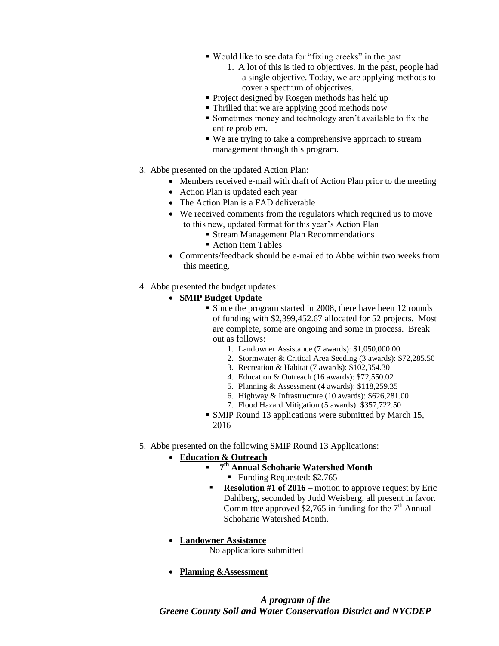- Would like to see data for "fixing creeks" in the past
	- 1. A lot of this is tied to objectives. In the past, people had a single objective. Today, we are applying methods to cover a spectrum of objectives.
- Project designed by Rosgen methods has held up
- Thrilled that we are applying good methods now
- Sometimes money and technology aren't available to fix the entire problem.
- We are trying to take a comprehensive approach to stream management through this program.
- 3. Abbe presented on the updated Action Plan:
	- Members received e-mail with draft of Action Plan prior to the meeting
	- Action Plan is updated each year
	- The Action Plan is a FAD deliverable
	- We received comments from the regulators which required us to move to this new, updated format for this year's Action Plan
		- Stream Management Plan Recommendations
		- Action Item Tables
	- Comments/feedback should be e-mailed to Abbe within two weeks from this meeting.
- 4. Abbe presented the budget updates:
	- **SMIP Budget Update**
		- Since the program started in 2008, there have been 12 rounds of funding with \$2,399,452.67 allocated for 52 projects. Most are complete, some are ongoing and some in process. Break out as follows:
			- 1. Landowner Assistance (7 awards): \$1,050,000.00
			- 2. Stormwater & Critical Area Seeding (3 awards): \$72,285.50
			- 3. Recreation & Habitat (7 awards): \$102,354.30
			- 4. Education & Outreach (16 awards): \$72,550.02
			- 5. Planning & Assessment (4 awards): \$118,259.35
			- 6. Highway & Infrastructure (10 awards): \$626,281.00
			- 7. Flood Hazard Mitigation (5 awards): \$357,722.50
		- SMIP Round 13 applications were submitted by March 15, 2016
- 5. Abbe presented on the following SMIP Round 13 Applications:

#### **Education & Outreach**

- **7 th Annual Schoharie Watershed Month**
	- Funding Requested: \$2,765
- **Resolution #1 of 2016** motion to approve request by Eric Dahlberg, seconded by Judd Weisberg, all present in favor. Committee approved \$2,765 in funding for the  $7<sup>th</sup>$  Annual Schoharie Watershed Month.
- **Landowner Assistance**
	- No applications submitted
- **Planning &Assessment**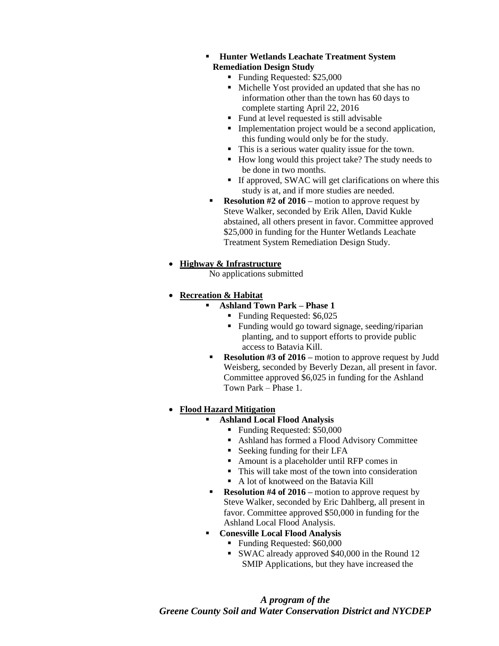- **Hunter Wetlands Leachate Treatment System Remediation Design Study**
	- Funding Requested: \$25,000
	- Michelle Yost provided an updated that she has no information other than the town has 60 days to complete starting April 22, 2016
	- Fund at level requested is still advisable
	- Implementation project would be a second application, this funding would only be for the study.
	- This is a serious water quality issue for the town.
	- How long would this project take? The study needs to be done in two months.
	- If approved, SWAC will get clarifications on where this study is at, and if more studies are needed.
- **Resolution #2 of 2016** motion to approve request by Steve Walker, seconded by Erik Allen, David Kukle abstained, all others present in favor. Committee approved \$25,000 in funding for the Hunter Wetlands Leachate Treatment System Remediation Design Study.

### **Highway & Infrastructure**

No applications submitted

### **Recreation & Habitat**

- **Ashland Town Park – Phase 1**
	- Funding Requested: \$6,025
	- Funding would go toward signage, seeding/riparian planting, and to support efforts to provide public access to Batavia Kill.
- **Resolution #3 of 2016** motion to approve request by Judd Weisberg, seconded by Beverly Dezan, all present in favor. Committee approved \$6,025 in funding for the Ashland Town Park – Phase 1.

### **Flood Hazard Mitigation**

- **Ashland Local Flood Analysis**
	- Funding Requested: \$50,000
	- Ashland has formed a Flood Advisory Committee
	- Seeking funding for their LFA
	- Amount is a placeholder until RFP comes in
	- This will take most of the town into consideration
	- A lot of knotweed on the Batavia Kill
- **Resolution #4 of 2016** motion to approve request by Steve Walker, seconded by Eric Dahlberg, all present in favor. Committee approved \$50,000 in funding for the Ashland Local Flood Analysis.
- **Conesville Local Flood Analysis**
	- Funding Requested: \$60,000
	- SWAC already approved \$40,000 in the Round 12 SMIP Applications, but they have increased the